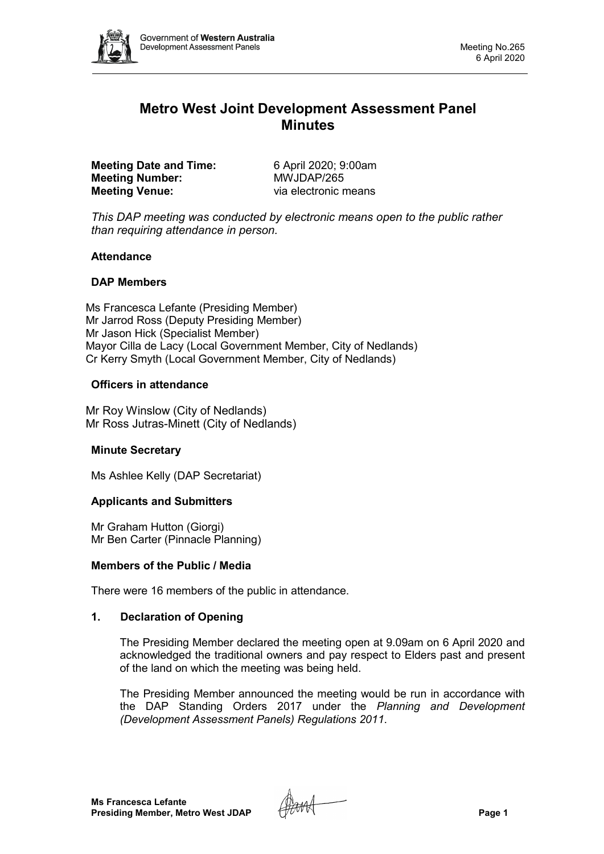

# **Metro West Joint Development Assessment Panel Minutes**

**Meeting Date and Time:** 6 April 2020; 9:00am<br> **Meeting Number:** MWJDAP/265 **Meeting Number: Meeting Venue:** via electronic means

*This DAP meeting was conducted by electronic means open to the public rather than requiring attendance in person.*

## **Attendance**

## **DAP Members**

Ms Francesca Lefante (Presiding Member) Mr Jarrod Ross (Deputy Presiding Member) Mr Jason Hick (Specialist Member) Mayor Cilla de Lacy (Local Government Member, City of Nedlands) Cr Kerry Smyth (Local Government Member, City of Nedlands)

## **Officers in attendance**

Mr Roy Winslow (City of Nedlands) Mr Ross Jutras-Minett (City of Nedlands)

### **Minute Secretary**

Ms Ashlee Kelly (DAP Secretariat)

### **Applicants and Submitters**

Mr Graham Hutton (Giorgi) Mr Ben Carter (Pinnacle Planning)

### **Members of the Public / Media**

There were 16 members of the public in attendance.

### **1. Declaration of Opening**

The Presiding Member declared the meeting open at 9.09am on 6 April 2020 and acknowledged the traditional owners and pay respect to Elders past and present of the land on which the meeting was being held.

The Presiding Member announced the meeting would be run in accordance with the DAP Standing Orders 2017 under the *Planning and Development (Development Assessment Panels) Regulations 2011*.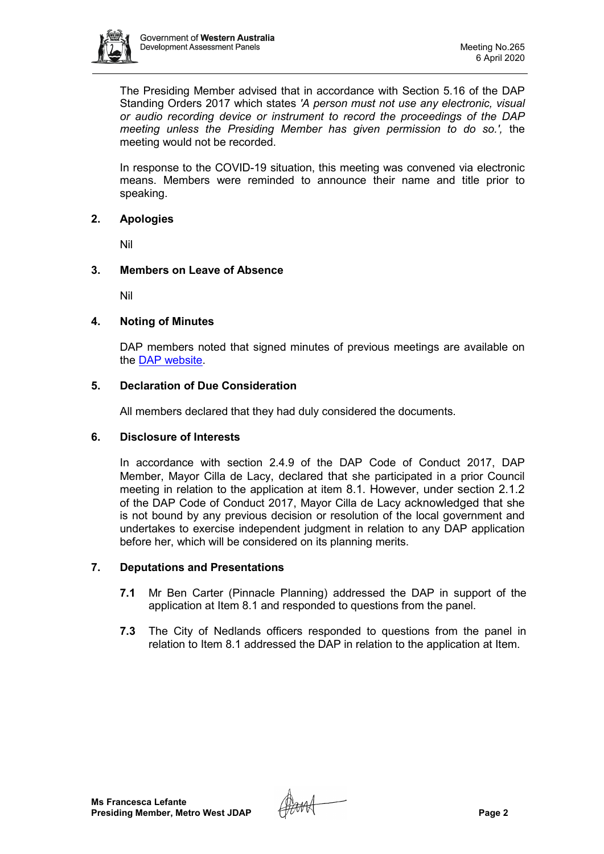

The Presiding Member advised that in accordance with Section 5.16 of the DAP Standing Orders 2017 which states *'A person must not use any electronic, visual or audio recording device or instrument to record the proceedings of the DAP meeting unless the Presiding Member has given permission to do so.',* the meeting would not be recorded.

In response to the COVID-19 situation, this meeting was convened via electronic means. Members were reminded to announce their name and title prior to speaking.

## **2. Apologies**

Nil

## **3. Members on Leave of Absence**

Nil

## **4. Noting of Minutes**

DAP members noted that signed minutes of previous meetings are available on the [DAP website.](https://www.dplh.wa.gov.au/about/development-assessment-panels/daps-agendas-and-minutes)

## **5. Declaration of Due Consideration**

All members declared that they had duly considered the documents.

### **6. Disclosure of Interests**

In accordance with section 2.4.9 of the DAP Code of Conduct 2017, DAP Member, Mayor Cilla de Lacy, declared that she participated in a prior Council meeting in relation to the application at item 8.1. However, under section 2.1.2 of the DAP Code of Conduct 2017, Mayor Cilla de Lacy acknowledged that she is not bound by any previous decision or resolution of the local government and undertakes to exercise independent judgment in relation to any DAP application before her, which will be considered on its planning merits.

## **7. Deputations and Presentations**

- **7.1** Mr Ben Carter (Pinnacle Planning) addressed the DAP in support of the application at Item 8.1 and responded to questions from the panel.
- **7.3** The City of Nedlands officers responded to questions from the panel in relation to Item 8.1 addressed the DAP in relation to the application at Item.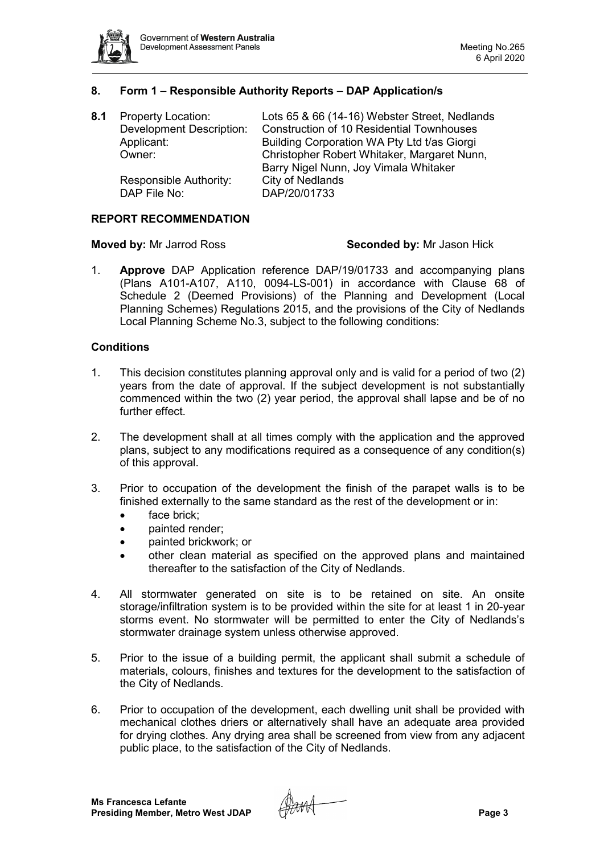

## **8. Form 1 – Responsible Authority Reports – DAP Application/s**

| <b>Property Location:</b>       | Lots 65 & 66 (14-16) Webster Street, Nedlands    |  |
|---------------------------------|--------------------------------------------------|--|
| <b>Development Description:</b> | <b>Construction of 10 Residential Townhouses</b> |  |
| Applicant:                      | Building Corporation WA Pty Ltd t/as Giorgi      |  |
| Owner:                          | Christopher Robert Whitaker, Margaret Nunn,      |  |
|                                 | Barry Nigel Nunn, Joy Vimala Whitaker            |  |
| Responsible Authority:          | <b>City of Nedlands</b>                          |  |
| DAP File No:                    | DAP/20/01733                                     |  |
|                                 |                                                  |  |

#### **REPORT RECOMMENDATION**

#### **Moved by:** Mr Jarrod Ross **Seconded by:** Mr Jason Hick

1. **Approve** DAP Application reference DAP/19/01733 and accompanying plans (Plans A101-A107, A110, 0094-LS-001) in accordance with Clause 68 of Schedule 2 (Deemed Provisions) of the Planning and Development (Local Planning Schemes) Regulations 2015, and the provisions of the City of Nedlands Local Planning Scheme No.3, subject to the following conditions:

### **Conditions**

- 1. This decision constitutes planning approval only and is valid for a period of two (2) years from the date of approval. If the subject development is not substantially commenced within the two (2) year period, the approval shall lapse and be of no further effect.
- 2. The development shall at all times comply with the application and the approved plans, subject to any modifications required as a consequence of any condition(s) of this approval.
- 3. Prior to occupation of the development the finish of the parapet walls is to be finished externally to the same standard as the rest of the development or in:
	- face brick;
	- **painted render:**
	- painted brickwork; or
	- other clean material as specified on the approved plans and maintained thereafter to the satisfaction of the City of Nedlands.
- 4. All stormwater generated on site is to be retained on site. An onsite storage/infiltration system is to be provided within the site for at least 1 in 20-year storms event. No stormwater will be permitted to enter the City of Nedlands's stormwater drainage system unless otherwise approved.
- 5. Prior to the issue of a building permit, the applicant shall submit a schedule of materials, colours, finishes and textures for the development to the satisfaction of the City of Nedlands.
- 6. Prior to occupation of the development, each dwelling unit shall be provided with mechanical clothes driers or alternatively shall have an adequate area provided for drying clothes. Any drying area shall be screened from view from any adjacent public place, to the satisfaction of the City of Nedlands.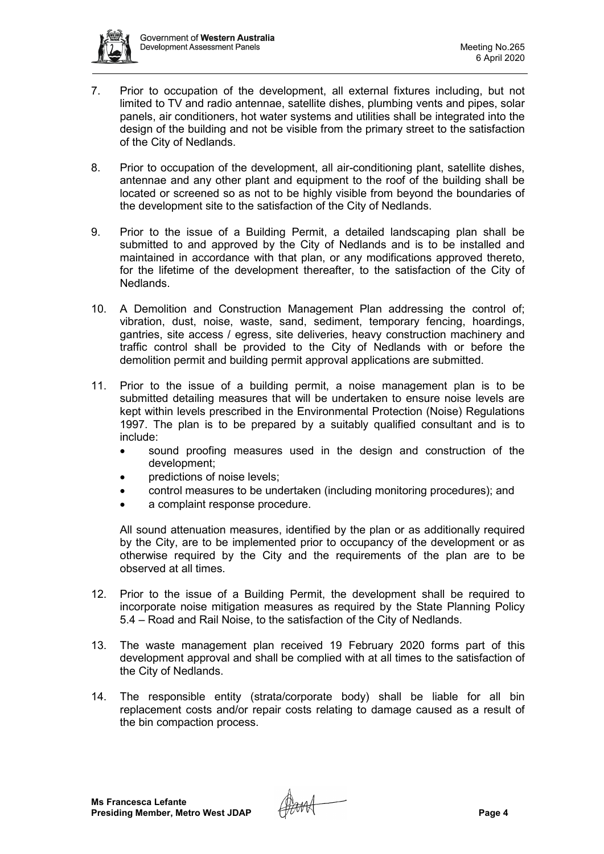

- 7. Prior to occupation of the development, all external fixtures including, but not limited to TV and radio antennae, satellite dishes, plumbing vents and pipes, solar panels, air conditioners, hot water systems and utilities shall be integrated into the design of the building and not be visible from the primary street to the satisfaction of the City of Nedlands.
- 8. Prior to occupation of the development, all air-conditioning plant, satellite dishes, antennae and any other plant and equipment to the roof of the building shall be located or screened so as not to be highly visible from beyond the boundaries of the development site to the satisfaction of the City of Nedlands.
- 9. Prior to the issue of a Building Permit, a detailed landscaping plan shall be submitted to and approved by the City of Nedlands and is to be installed and maintained in accordance with that plan, or any modifications approved thereto, for the lifetime of the development thereafter, to the satisfaction of the City of Nedlands.
- 10. A Demolition and Construction Management Plan addressing the control of; vibration, dust, noise, waste, sand, sediment, temporary fencing, hoardings, gantries, site access / egress, site deliveries, heavy construction machinery and traffic control shall be provided to the City of Nedlands with or before the demolition permit and building permit approval applications are submitted.
- 11. Prior to the issue of a building permit, a noise management plan is to be submitted detailing measures that will be undertaken to ensure noise levels are kept within levels prescribed in the Environmental Protection (Noise) Regulations 1997. The plan is to be prepared by a suitably qualified consultant and is to include:
	- sound proofing measures used in the design and construction of the development;
	- predictions of noise levels:
	- control measures to be undertaken (including monitoring procedures); and
	- a complaint response procedure.

All sound attenuation measures, identified by the plan or as additionally required by the City, are to be implemented prior to occupancy of the development or as otherwise required by the City and the requirements of the plan are to be observed at all times.

- 12. Prior to the issue of a Building Permit, the development shall be required to incorporate noise mitigation measures as required by the State Planning Policy 5.4 – Road and Rail Noise, to the satisfaction of the City of Nedlands.
- 13. The waste management plan received 19 February 2020 forms part of this development approval and shall be complied with at all times to the satisfaction of the City of Nedlands.
- 14. The responsible entity (strata/corporate body) shall be liable for all bin replacement costs and/or repair costs relating to damage caused as a result of the bin compaction process.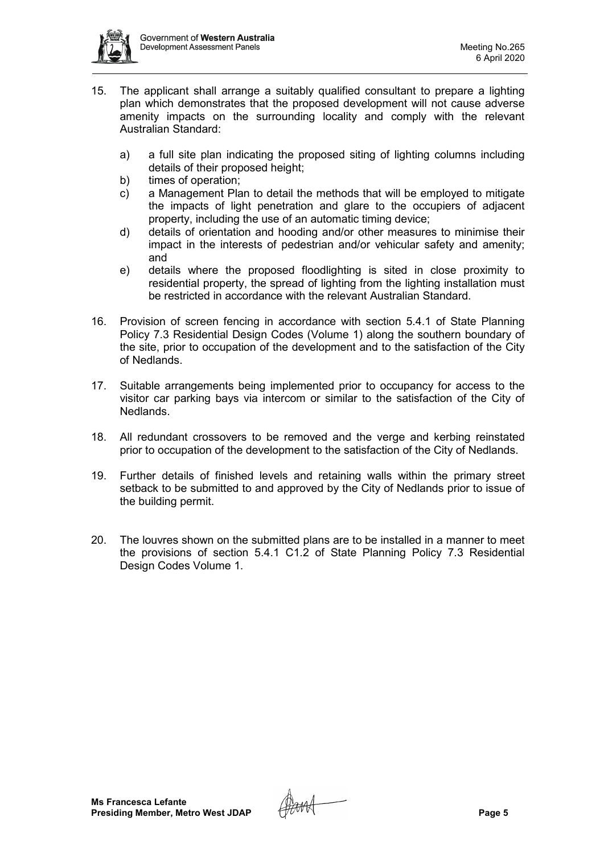

- 15. The applicant shall arrange a suitably qualified consultant to prepare a lighting plan which demonstrates that the proposed development will not cause adverse amenity impacts on the surrounding locality and comply with the relevant Australian Standard:
	- a) a full site plan indicating the proposed siting of lighting columns including details of their proposed height;
	- b) times of operation;
	- c) a Management Plan to detail the methods that will be employed to mitigate the impacts of light penetration and glare to the occupiers of adjacent property, including the use of an automatic timing device;
	- d) details of orientation and hooding and/or other measures to minimise their impact in the interests of pedestrian and/or vehicular safety and amenity; and
	- e) details where the proposed floodlighting is sited in close proximity to residential property, the spread of lighting from the lighting installation must be restricted in accordance with the relevant Australian Standard.
- 16. Provision of screen fencing in accordance with section 5.4.1 of State Planning Policy 7.3 Residential Design Codes (Volume 1) along the southern boundary of the site, prior to occupation of the development and to the satisfaction of the City of Nedlands.
- 17. Suitable arrangements being implemented prior to occupancy for access to the visitor car parking bays via intercom or similar to the satisfaction of the City of Nedlands.
- 18. All redundant crossovers to be removed and the verge and kerbing reinstated prior to occupation of the development to the satisfaction of the City of Nedlands.
- 19. Further details of finished levels and retaining walls within the primary street setback to be submitted to and approved by the City of Nedlands prior to issue of the building permit.
- 20. The louvres shown on the submitted plans are to be installed in a manner to meet the provisions of section 5.4.1 C1.2 of State Planning Policy 7.3 Residential Design Codes Volume 1.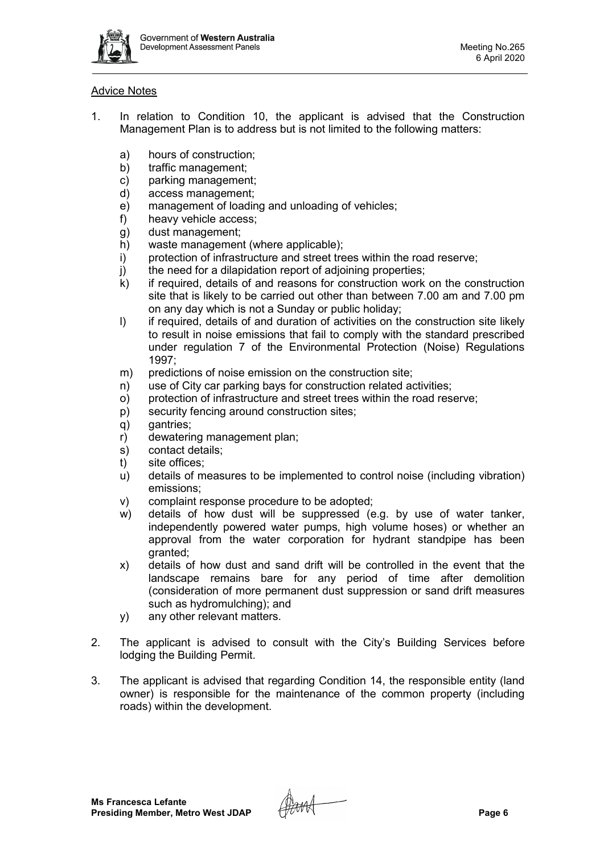

## Advice Notes

- 1. In relation to Condition 10, the applicant is advised that the Construction Management Plan is to address but is not limited to the following matters:
	- a) hours of construction;
	- b) traffic management;
	- c) parking management;<br>d) access management;
	- d) access management;<br>e) management of loadir
	- management of loading and unloading of vehicles;
	- f) heavy vehicle access;
	- g) dust management;
	- h) waste management (where applicable);
	- i) protection of infrastructure and street trees within the road reserve;
	- j) the need for a dilapidation report of adjoining properties;<br>k) if required, details of and reasons for construction work
	- if required, details of and reasons for construction work on the construction site that is likely to be carried out other than between 7.00 am and 7.00 pm on any day which is not a Sunday or public holiday;
	- l) if required, details of and duration of activities on the construction site likely to result in noise emissions that fail to comply with the standard prescribed under regulation 7 of the Environmental Protection (Noise) Regulations 1997;
	- m) predictions of noise emission on the construction site;
	- n) use of City car parking bays for construction related activities;
	- o) protection of infrastructure and street trees within the road reserve;
	- p) security fencing around construction sites;
	- q) gantries;
	- r) dewatering management plan;
	- s) contact details;
	- t) site offices;
	- u) details of measures to be implemented to control noise (including vibration) emissions;
	- v) complaint response procedure to be adopted;
	- w) details of how dust will be suppressed (e.g. by use of water tanker, independently powered water pumps, high volume hoses) or whether an approval from the water corporation for hydrant standpipe has been granted;
	- x) details of how dust and sand drift will be controlled in the event that the landscape remains bare for any period of time after demolition (consideration of more permanent dust suppression or sand drift measures such as hydromulching); and
	- y) any other relevant matters.
- 2. The applicant is advised to consult with the City's Building Services before lodging the Building Permit.
- 3. The applicant is advised that regarding Condition 14, the responsible entity (land owner) is responsible for the maintenance of the common property (including roads) within the development.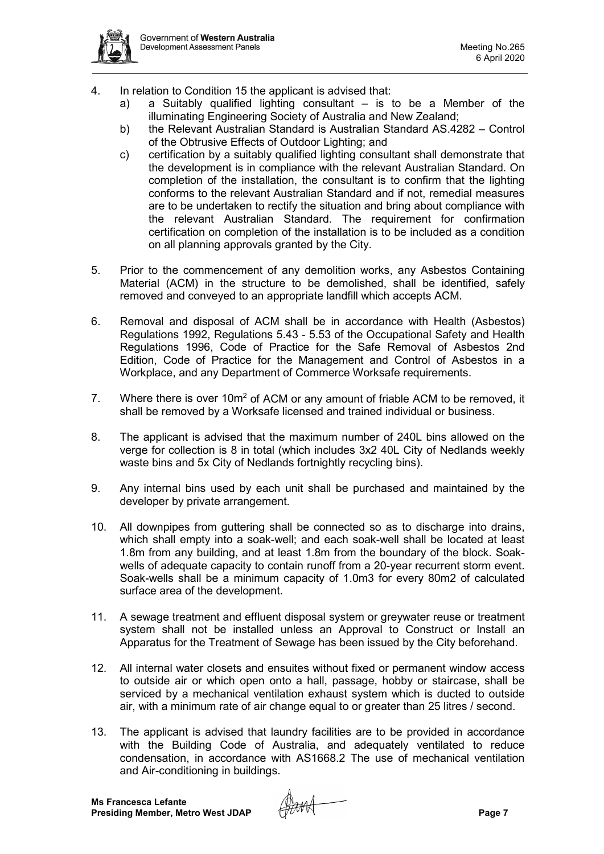

- 4. In relation to Condition 15 the applicant is advised that:
	- a) a Suitably qualified lighting consultant is to be a Member of the illuminating Engineering Society of Australia and New Zealand;
	- b) the Relevant Australian Standard is Australian Standard AS.4282 Control of the Obtrusive Effects of Outdoor Lighting; and
	- c) certification by a suitably qualified lighting consultant shall demonstrate that the development is in compliance with the relevant Australian Standard. On completion of the installation, the consultant is to confirm that the lighting conforms to the relevant Australian Standard and if not, remedial measures are to be undertaken to rectify the situation and bring about compliance with the relevant Australian Standard. The requirement for confirmation certification on completion of the installation is to be included as a condition on all planning approvals granted by the City.
- 5. Prior to the commencement of any demolition works, any Asbestos Containing Material (ACM) in the structure to be demolished, shall be identified, safely removed and conveyed to an appropriate landfill which accepts ACM.
- 6. Removal and disposal of ACM shall be in accordance with Health (Asbestos) Regulations 1992, Regulations 5.43 - 5.53 of the Occupational Safety and Health Regulations 1996, Code of Practice for the Safe Removal of Asbestos 2nd Edition, Code of Practice for the Management and Control of Asbestos in a Workplace, and any Department of Commerce Worksafe requirements.
- 7. Where there is over 10m<sup>2</sup> of ACM or any amount of friable ACM to be removed, it shall be removed by a Worksafe licensed and trained individual or business.
- 8. The applicant is advised that the maximum number of 240L bins allowed on the verge for collection is 8 in total (which includes 3x2 40L City of Nedlands weekly waste bins and 5x City of Nedlands fortnightly recycling bins).
- 9. Any internal bins used by each unit shall be purchased and maintained by the developer by private arrangement.
- 10. All downpipes from guttering shall be connected so as to discharge into drains, which shall empty into a soak-well; and each soak-well shall be located at least 1.8m from any building, and at least 1.8m from the boundary of the block. Soakwells of adequate capacity to contain runoff from a 20-year recurrent storm event. Soak-wells shall be a minimum capacity of 1.0m3 for every 80m2 of calculated surface area of the development.
- 11. A sewage treatment and effluent disposal system or greywater reuse or treatment system shall not be installed unless an Approval to Construct or Install an Apparatus for the Treatment of Sewage has been issued by the City beforehand.
- 12. All internal water closets and ensuites without fixed or permanent window access to outside air or which open onto a hall, passage, hobby or staircase, shall be serviced by a mechanical ventilation exhaust system which is ducted to outside air, with a minimum rate of air change equal to or greater than 25 litres / second.
- 13. The applicant is advised that laundry facilities are to be provided in accordance with the Building Code of Australia, and adequately ventilated to reduce condensation, in accordance with AS1668.2 The use of mechanical ventilation and Air-conditioning in buildings.

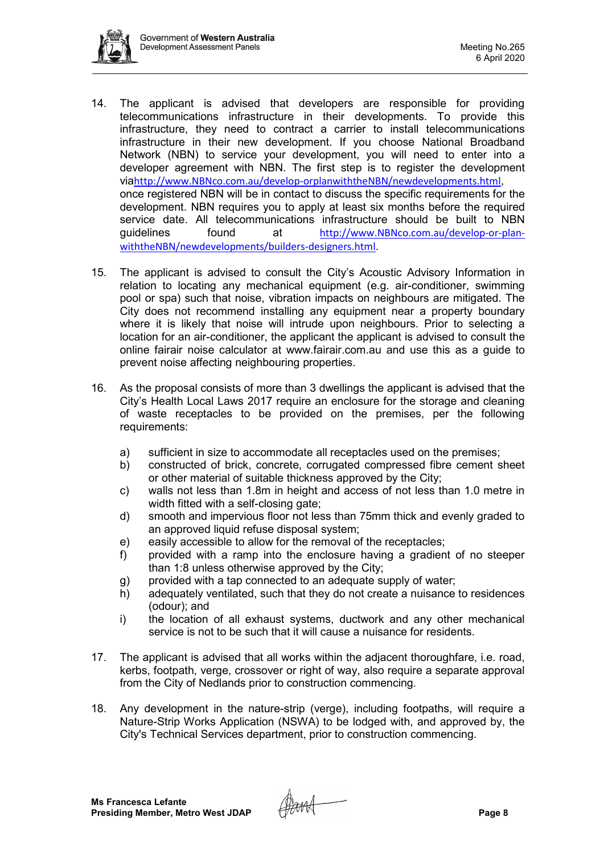

- 14. The applicant is advised that developers are responsible for providing telecommunications infrastructure in their developments. To provide this infrastructure, they need to contract a carrier to install telecommunications infrastructure in their new development. If you choose National Broadband Network (NBN) to service your development, you will need to enter into a developer agreement with NBN. The first step is to register the development via[http://www.NBNco.com.au/develop-orplanwiththeNBN/newdevelopments.html](http://www.nbnco.com.au/develop-orplanwiththeNBN/newdevelopments.html), once registered NBN will be in contact to discuss the specific requirements for the development. NBN requires you to apply at least six months before the required service date. All telecommunications infrastructure should be built to NBN guidelines found at [http://www.NBNco.com.au/develop-or-plan](http://www.nbnco.com.au/develop-or-plan-withtheNBN/newdevelopments/builders-designers.html)[withtheNBN/newdevelopments/builders-designers.html](http://www.nbnco.com.au/develop-or-plan-withtheNBN/newdevelopments/builders-designers.html).
- 15. The applicant is advised to consult the City's Acoustic Advisory Information in relation to locating any mechanical equipment (e.g. air-conditioner, swimming pool or spa) such that noise, vibration impacts on neighbours are mitigated. The City does not recommend installing any equipment near a property boundary where it is likely that noise will intrude upon neighbours. Prior to selecting a location for an air-conditioner, the applicant the applicant is advised to consult the online fairair noise calculator at [www.fairair.com.au](http://www.fairair.com.au/) and use this as a guide to prevent noise affecting neighbouring properties.
- 16. As the proposal consists of more than 3 dwellings the applicant is advised that the City's Health Local Laws 2017 require an enclosure for the storage and cleaning of waste receptacles to be provided on the premises, per the following requirements:
	- a) sufficient in size to accommodate all receptacles used on the premises;
	- b) constructed of brick, concrete, corrugated compressed fibre cement sheet or other material of suitable thickness approved by the City;
	- c) walls not less than 1.8m in height and access of not less than 1.0 metre in width fitted with a self-closing gate;
	- d) smooth and impervious floor not less than 75mm thick and evenly graded to an approved liquid refuse disposal system;
	- e) easily accessible to allow for the removal of the receptacles;
	- f) provided with a ramp into the enclosure having a gradient of no steeper than 1:8 unless otherwise approved by the City;
	- g) provided with a tap connected to an adequate supply of water;<br>h) adequately ventilated, such that they do not create a nuisance
	- adequately ventilated, such that they do not create a nuisance to residences (odour); and
	- i) the location of all exhaust systems, ductwork and any other mechanical service is not to be such that it will cause a nuisance for residents.
- 17. The applicant is advised that all works within the adjacent thoroughfare, i.e. road, kerbs, footpath, verge, crossover or right of way, also require a separate approval from the City of Nedlands prior to construction commencing.
- 18. Any development in the nature-strip (verge), including footpaths, will require a Nature-Strip Works Application (NSWA) to be lodged with, and approved by, the City's Technical Services department, prior to construction commencing.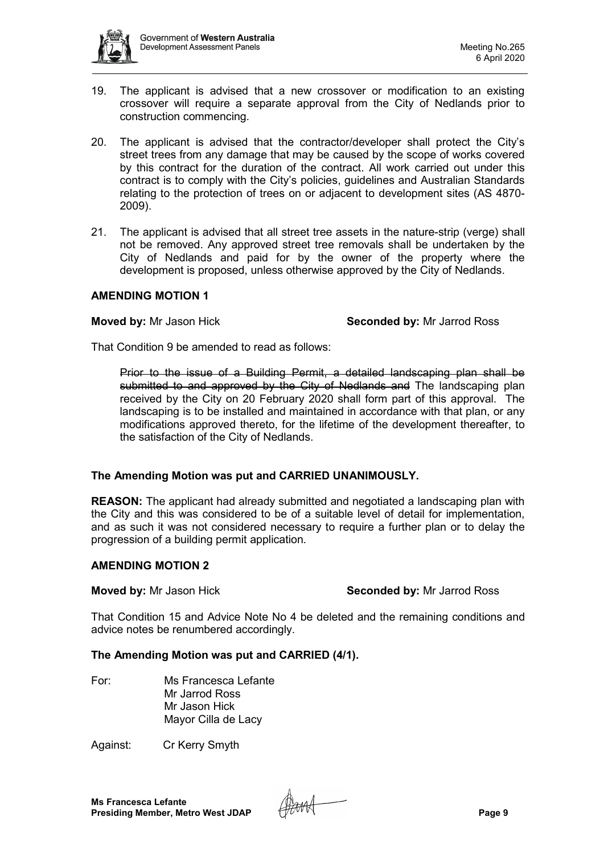

- 19. The applicant is advised that a new crossover or modification to an existing crossover will require a separate approval from the City of Nedlands prior to construction commencing.
- 20. The applicant is advised that the contractor/developer shall protect the City's street trees from any damage that may be caused by the scope of works covered by this contract for the duration of the contract. All work carried out under this contract is to comply with the City's policies, guidelines and Australian Standards relating to the protection of trees on or adjacent to development sites (AS 4870- 2009).
- 21. The applicant is advised that all street tree assets in the nature-strip (verge) shall not be removed. Any approved street tree removals shall be undertaken by the City of Nedlands and paid for by the owner of the property where the development is proposed, unless otherwise approved by the City of Nedlands.

### **AMENDING MOTION 1**

**Moved by:** Mr Jason Hick **Seconded by:** Mr Jarrod Ross

That Condition 9 be amended to read as follows:

Prior to the issue of a Building Permit, a detailed landscaping plan shall be submitted to and approved by the City of Nedlands and The landscaping plan received by the City on 20 February 2020 shall form part of this approval. The landscaping is to be installed and maintained in accordance with that plan, or any modifications approved thereto, for the lifetime of the development thereafter, to the satisfaction of the City of Nedlands.

## **The Amending Motion was put and CARRIED UNANIMOUSLY.**

**REASON:** The applicant had already submitted and negotiated a landscaping plan with the City and this was considered to be of a suitable level of detail for implementation, and as such it was not considered necessary to require a further plan or to delay the progression of a building permit application.

## **AMENDING MOTION 2**

**Moved by:** Mr Jason Hick **Seconded by:** Mr Jarrod Ross

That Condition 15 and Advice Note No 4 be deleted and the remaining conditions and advice notes be renumbered accordingly.

## **The Amending Motion was put and CARRIED (4/1).**

For: Ms Francesca Lefante Mr Jarrod Ross Mr Jason Hick Mayor Cilla de Lacy

Against: Cr Kerry Smyth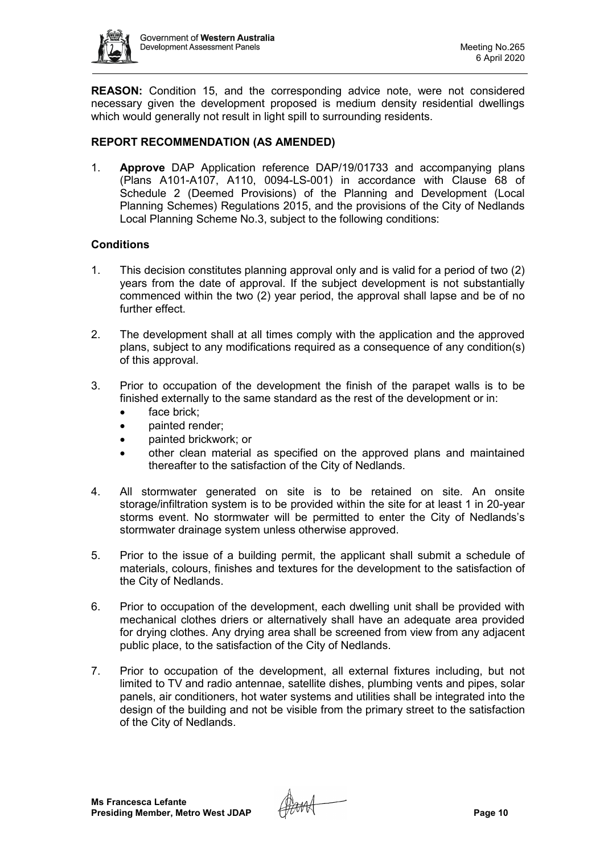

**REASON:** Condition 15, and the corresponding advice note, were not considered necessary given the development proposed is medium density residential dwellings which would generally not result in light spill to surrounding residents.

## **REPORT RECOMMENDATION (AS AMENDED)**

1. **Approve** DAP Application reference DAP/19/01733 and accompanying plans (Plans A101-A107, A110, 0094-LS-001) in accordance with Clause 68 of Schedule 2 (Deemed Provisions) of the Planning and Development (Local Planning Schemes) Regulations 2015, and the provisions of the City of Nedlands Local Planning Scheme No.3, subject to the following conditions:

## **Conditions**

- 1. This decision constitutes planning approval only and is valid for a period of two (2) years from the date of approval. If the subject development is not substantially commenced within the two (2) year period, the approval shall lapse and be of no further effect.
- 2. The development shall at all times comply with the application and the approved plans, subject to any modifications required as a consequence of any condition(s) of this approval.
- 3. Prior to occupation of the development the finish of the parapet walls is to be finished externally to the same standard as the rest of the development or in:
	- face brick;
	- painted render;
	- painted brickwork; or
	- other clean material as specified on the approved plans and maintained thereafter to the satisfaction of the City of Nedlands.
- 4. All stormwater generated on site is to be retained on site. An onsite storage/infiltration system is to be provided within the site for at least 1 in 20-year storms event. No stormwater will be permitted to enter the City of Nedlands's stormwater drainage system unless otherwise approved.
- 5. Prior to the issue of a building permit, the applicant shall submit a schedule of materials, colours, finishes and textures for the development to the satisfaction of the City of Nedlands.
- 6. Prior to occupation of the development, each dwelling unit shall be provided with mechanical clothes driers or alternatively shall have an adequate area provided for drying clothes. Any drying area shall be screened from view from any adjacent public place, to the satisfaction of the City of Nedlands.
- 7. Prior to occupation of the development, all external fixtures including, but not limited to TV and radio antennae, satellite dishes, plumbing vents and pipes, solar panels, air conditioners, hot water systems and utilities shall be integrated into the design of the building and not be visible from the primary street to the satisfaction of the City of Nedlands.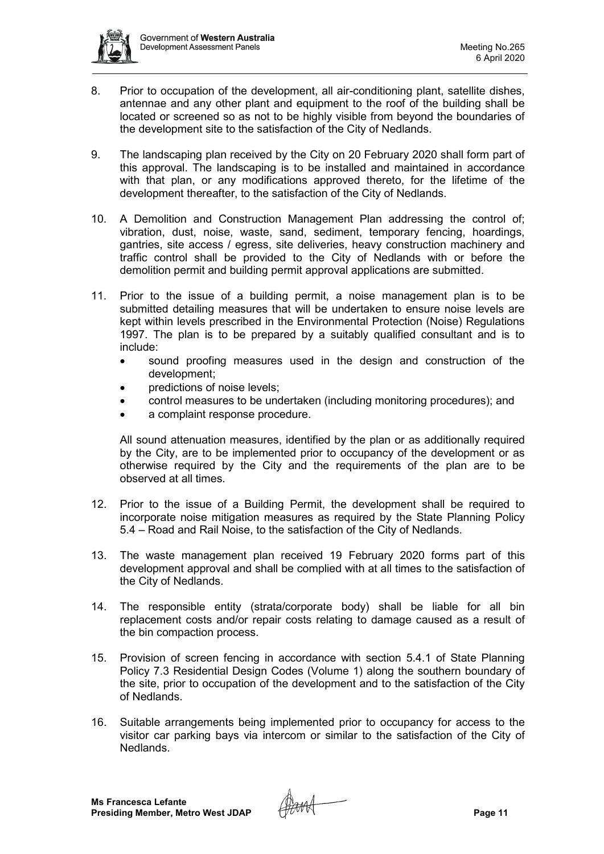

- 8. Prior to occupation of the development, all air-conditioning plant, satellite dishes, antennae and any other plant and equipment to the roof of the building shall be located or screened so as not to be highly visible from beyond the boundaries of the development site to the satisfaction of the City of Nedlands.
- 9. The landscaping plan received by the City on 20 February 2020 shall form part of this approval. The landscaping is to be installed and maintained in accordance with that plan, or any modifications approved thereto, for the lifetime of the development thereafter, to the satisfaction of the City of Nedlands.
- 10. A Demolition and Construction Management Plan addressing the control of; vibration, dust, noise, waste, sand, sediment, temporary fencing, hoardings, gantries, site access / egress, site deliveries, heavy construction machinery and traffic control shall be provided to the City of Nedlands with or before the demolition permit and building permit approval applications are submitted.
- 11. Prior to the issue of a building permit, a noise management plan is to be submitted detailing measures that will be undertaken to ensure noise levels are kept within levels prescribed in the Environmental Protection (Noise) Regulations 1997. The plan is to be prepared by a suitably qualified consultant and is to include:
	- sound proofing measures used in the design and construction of the development;
	- predictions of noise levels;
	- control measures to be undertaken (including monitoring procedures); and
	- a complaint response procedure.

All sound attenuation measures, identified by the plan or as additionally required by the City, are to be implemented prior to occupancy of the development or as otherwise required by the City and the requirements of the plan are to be observed at all times.

- 12. Prior to the issue of a Building Permit, the development shall be required to incorporate noise mitigation measures as required by the State Planning Policy 5.4 – Road and Rail Noise, to the satisfaction of the City of Nedlands.
- 13. The waste management plan received 19 February 2020 forms part of this development approval and shall be complied with at all times to the satisfaction of the City of Nedlands.
- 14. The responsible entity (strata/corporate body) shall be liable for all bin replacement costs and/or repair costs relating to damage caused as a result of the bin compaction process.
- 15. Provision of screen fencing in accordance with section 5.4.1 of State Planning Policy 7.3 Residential Design Codes (Volume 1) along the southern boundary of the site, prior to occupation of the development and to the satisfaction of the City of Nedlands.
- 16. Suitable arrangements being implemented prior to occupancy for access to the visitor car parking bays via intercom or similar to the satisfaction of the City of Nedlands.

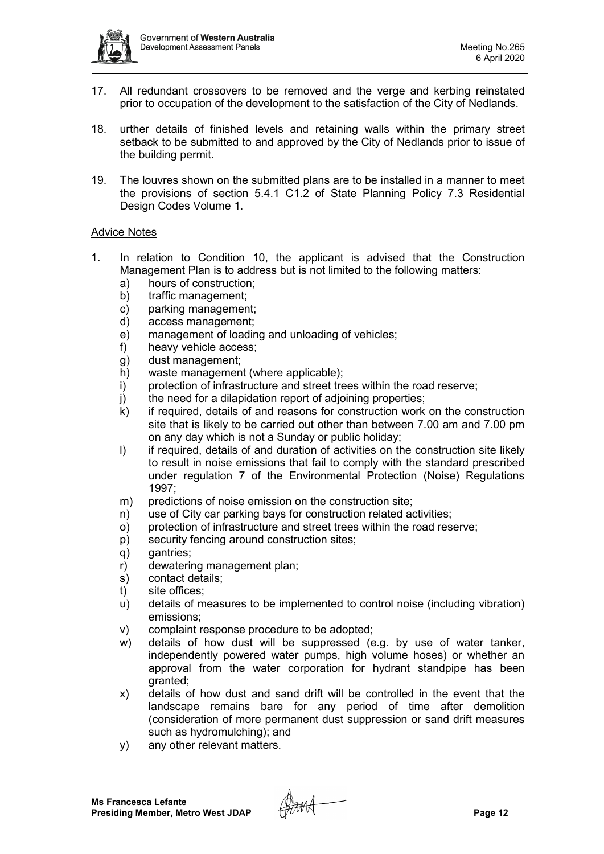

- 17. All redundant crossovers to be removed and the verge and kerbing reinstated prior to occupation of the development to the satisfaction of the City of Nedlands.
- 18. urther details of finished levels and retaining walls within the primary street setback to be submitted to and approved by the City of Nedlands prior to issue of the building permit.
- 19. The louvres shown on the submitted plans are to be installed in a manner to meet the provisions of section 5.4.1 C1.2 of State Planning Policy 7.3 Residential Design Codes Volume 1.

## Advice Notes

- 1. In relation to Condition 10, the applicant is advised that the Construction Management Plan is to address but is not limited to the following matters:
	- a) hours of construction;
	- b) traffic management;
	- c) parking management;
	- d) access management;
	- e) management of loading and unloading of vehicles;
	- f) heavy vehicle access;
	- g) dust management;
	- h) waste management (where applicable);
	- i) protection of infrastructure and street trees within the road reserve;
	- j) the need for a dilapidation report of adjoining properties;
	- k) if required, details of and reasons for construction work on the construction site that is likely to be carried out other than between 7.00 am and 7.00 pm on any day which is not a Sunday or public holiday;
	- I) if required, details of and duration of activities on the construction site likely to result in noise emissions that fail to comply with the standard prescribed under regulation 7 of the Environmental Protection (Noise) Regulations 1997;
	- m) predictions of noise emission on the construction site;
	- n) use of City car parking bays for construction related activities;
	- o) protection of infrastructure and street trees within the road reserve;
	- p) security fencing around construction sites;
	- q) gantries;
	- r) dewatering management plan;
	- s) contact details;
	- t) site offices;
	- u) details of measures to be implemented to control noise (including vibration) emissions;
	- v) complaint response procedure to be adopted;
	- w) details of how dust will be suppressed (e.g. by use of water tanker, independently powered water pumps, high volume hoses) or whether an approval from the water corporation for hydrant standpipe has been granted;
	- x) details of how dust and sand drift will be controlled in the event that the landscape remains bare for any period of time after demolition (consideration of more permanent dust suppression or sand drift measures such as hydromulching); and
	- y) any other relevant matters.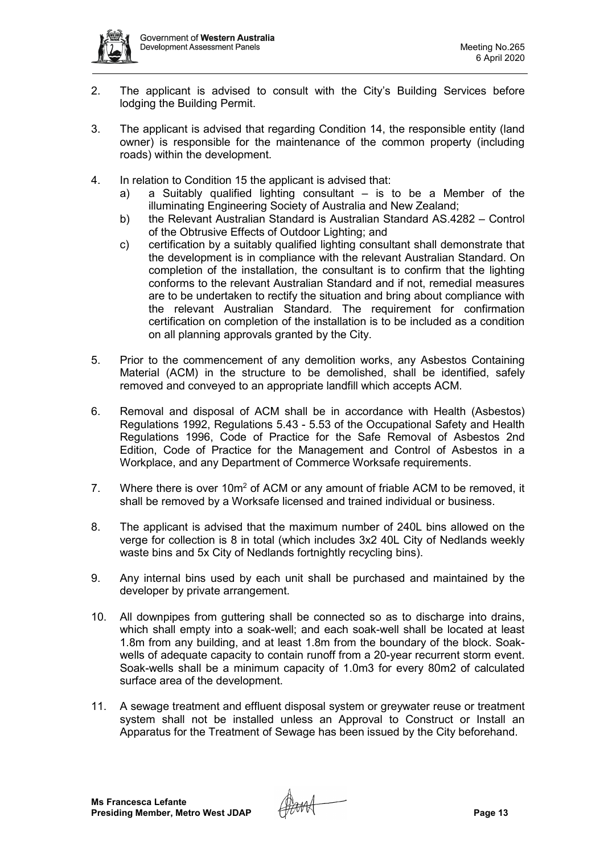- 2. The applicant is advised to consult with the City's Building Services before lodging the Building Permit.
- 3. The applicant is advised that regarding Condition 14, the responsible entity (land owner) is responsible for the maintenance of the common property (including roads) within the development.
- 4. In relation to Condition 15 the applicant is advised that:
	- a) a Suitably qualified lighting consultant is to be a Member of the illuminating Engineering Society of Australia and New Zealand;
	- b) the Relevant Australian Standard is Australian Standard AS.4282 Control of the Obtrusive Effects of Outdoor Lighting; and
	- c) certification by a suitably qualified lighting consultant shall demonstrate that the development is in compliance with the relevant Australian Standard. On completion of the installation, the consultant is to confirm that the lighting conforms to the relevant Australian Standard and if not, remedial measures are to be undertaken to rectify the situation and bring about compliance with the relevant Australian Standard. The requirement for confirmation certification on completion of the installation is to be included as a condition on all planning approvals granted by the City.
- 5. Prior to the commencement of any demolition works, any Asbestos Containing Material (ACM) in the structure to be demolished, shall be identified, safely removed and conveyed to an appropriate landfill which accepts ACM.
- 6. Removal and disposal of ACM shall be in accordance with Health (Asbestos) Regulations 1992, Regulations 5.43 - 5.53 of the Occupational Safety and Health Regulations 1996, Code of Practice for the Safe Removal of Asbestos 2nd Edition, Code of Practice for the Management and Control of Asbestos in a Workplace, and any Department of Commerce Worksafe requirements.
- 7. Where there is over 10m2 of ACM or any amount of friable ACM to be removed, it shall be removed by a Worksafe licensed and trained individual or business.
- 8. The applicant is advised that the maximum number of 240L bins allowed on the verge for collection is 8 in total (which includes 3x2 40L City of Nedlands weekly waste bins and 5x City of Nedlands fortnightly recycling bins).
- 9. Any internal bins used by each unit shall be purchased and maintained by the developer by private arrangement.
- 10. All downpipes from guttering shall be connected so as to discharge into drains, which shall empty into a soak-well; and each soak-well shall be located at least 1.8m from any building, and at least 1.8m from the boundary of the block. Soakwells of adequate capacity to contain runoff from a 20-year recurrent storm event. Soak-wells shall be a minimum capacity of 1.0m3 for every 80m2 of calculated surface area of the development.
- 11. A sewage treatment and effluent disposal system or greywater reuse or treatment system shall not be installed unless an Approval to Construct or Install an Apparatus for the Treatment of Sewage has been issued by the City beforehand.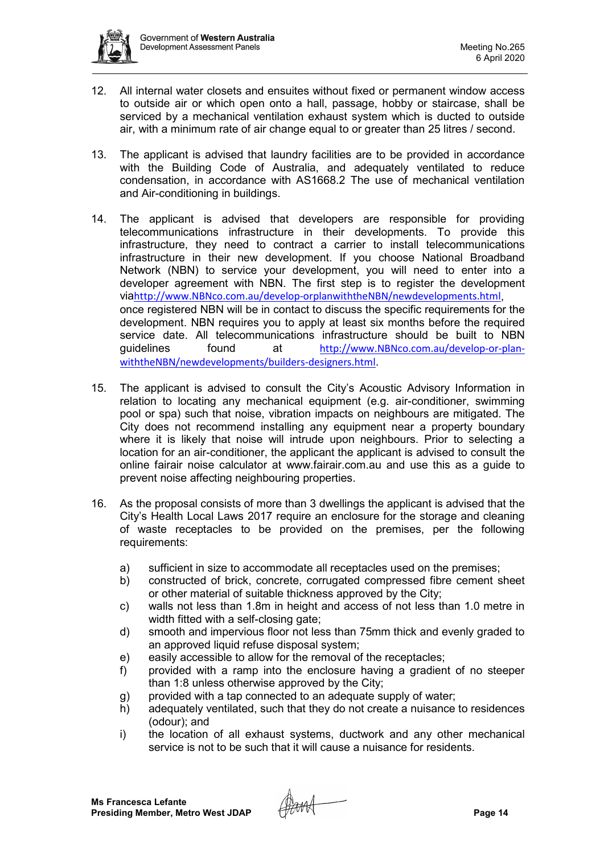

- 12. All internal water closets and ensuites without fixed or permanent window access to outside air or which open onto a hall, passage, hobby or staircase, shall be serviced by a mechanical ventilation exhaust system which is ducted to outside air, with a minimum rate of air change equal to or greater than 25 litres / second.
- 13. The applicant is advised that laundry facilities are to be provided in accordance with the Building Code of Australia, and adequately ventilated to reduce condensation, in accordance with AS1668.2 The use of mechanical ventilation and Air-conditioning in buildings.
- 14. The applicant is advised that developers are responsible for providing telecommunications infrastructure in their developments. To provide this infrastructure, they need to contract a carrier to install telecommunications infrastructure in their new development. If you choose National Broadband Network (NBN) to service your development, you will need to enter into a developer agreement with NBN. The first step is to register the development via[http://www.NBNco.com.au/develop-orplanwiththeNBN/newdevelopments.html](http://www.nbnco.com.au/develop-orplanwiththeNBN/newdevelopments.html), once registered NBN will be in contact to discuss the specific requirements for the development. NBN requires you to apply at least six months before the required service date. All telecommunications infrastructure should be built to NBN guidelines found at [http://www.NBNco.com.au/develop-or-plan](http://www.nbnco.com.au/develop-or-plan-withtheNBN/newdevelopments/builders-designers.html)[withtheNBN/newdevelopments/builders-designers.html](http://www.nbnco.com.au/develop-or-plan-withtheNBN/newdevelopments/builders-designers.html).
- 15. The applicant is advised to consult the City's Acoustic Advisory Information in relation to locating any mechanical equipment (e.g. air-conditioner, swimming pool or spa) such that noise, vibration impacts on neighbours are mitigated. The City does not recommend installing any equipment near a property boundary where it is likely that noise will intrude upon neighbours. Prior to selecting a location for an air-conditioner, the applicant the applicant is advised to consult the online fairair noise calculator at [www.fairair.com.au](http://www.fairair.com.au/) and use this as a guide to prevent noise affecting neighbouring properties.
- 16. As the proposal consists of more than 3 dwellings the applicant is advised that the City's Health Local Laws 2017 require an enclosure for the storage and cleaning of waste receptacles to be provided on the premises, per the following requirements:
	- a) sufficient in size to accommodate all receptacles used on the premises;
	- b) constructed of brick, concrete, corrugated compressed fibre cement sheet or other material of suitable thickness approved by the City;
	- c) walls not less than 1.8m in height and access of not less than 1.0 metre in width fitted with a self-closing gate;
	- d) smooth and impervious floor not less than 75mm thick and evenly graded to an approved liquid refuse disposal system;
	- e) easily accessible to allow for the removal of the receptacles;
	- f) provided with a ramp into the enclosure having a gradient of no steeper than 1:8 unless otherwise approved by the City;
	- g) provided with a tap connected to an adequate supply of water;
	- h) adequately ventilated, such that they do not create a nuisance to residences (odour); and
	- i) the location of all exhaust systems, ductwork and any other mechanical service is not to be such that it will cause a nuisance for residents.

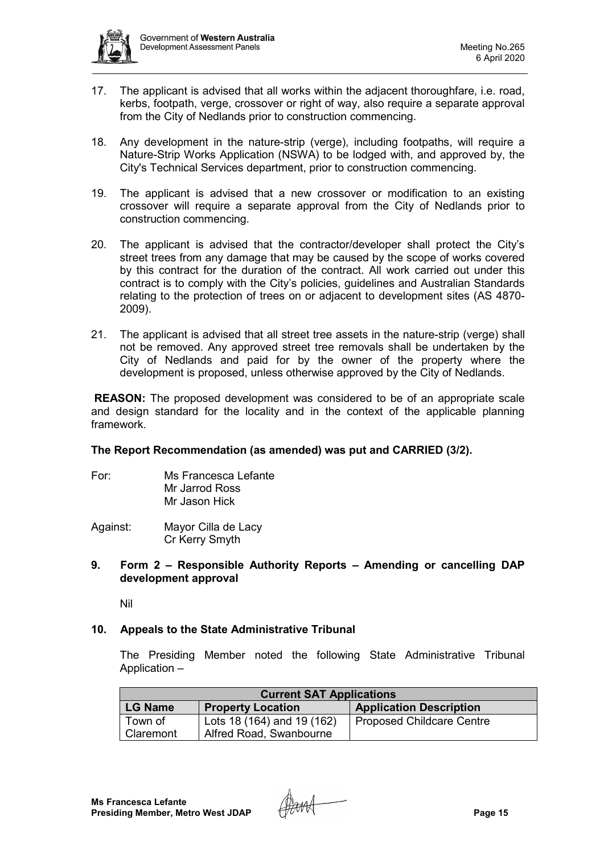

- 17. The applicant is advised that all works within the adjacent thoroughfare, i.e. road, kerbs, footpath, verge, crossover or right of way, also require a separate approval from the City of Nedlands prior to construction commencing.
- 18. Any development in the nature-strip (verge), including footpaths, will require a Nature-Strip Works Application (NSWA) to be lodged with, and approved by, the City's Technical Services department, prior to construction commencing.
- 19. The applicant is advised that a new crossover or modification to an existing crossover will require a separate approval from the City of Nedlands prior to construction commencing.
- 20. The applicant is advised that the contractor/developer shall protect the City's street trees from any damage that may be caused by the scope of works covered by this contract for the duration of the contract. All work carried out under this contract is to comply with the City's policies, guidelines and Australian Standards relating to the protection of trees on or adjacent to development sites (AS 4870- 2009).
- 21. The applicant is advised that all street tree assets in the nature-strip (verge) shall not be removed. Any approved street tree removals shall be undertaken by the City of Nedlands and paid for by the owner of the property where the development is proposed, unless otherwise approved by the City of Nedlands.

**REASON:** The proposed development was considered to be of an appropriate scale and design standard for the locality and in the context of the applicable planning framework.

## **The Report Recommendation (as amended) was put and CARRIED (3/2).**

- For: Ms Francesca Lefante Mr Jarrod Ross Mr Jason Hick
- Against: Mayor Cilla de Lacy Cr Kerry Smyth
- **9. Form 2 – Responsible Authority Reports – Amending or cancelling DAP development approval**

Nil

### **10. Appeals to the State Administrative Tribunal**

The Presiding Member noted the following State Administrative Tribunal Application –

| <b>Current SAT Applications</b> |                            |                                  |  |
|---------------------------------|----------------------------|----------------------------------|--|
| <b>LG Name</b>                  | <b>Property Location</b>   | <b>Application Description</b>   |  |
| Town of                         | Lots 18 (164) and 19 (162) | <b>Proposed Childcare Centre</b> |  |
| Claremont                       | Alfred Road, Swanbourne    |                                  |  |